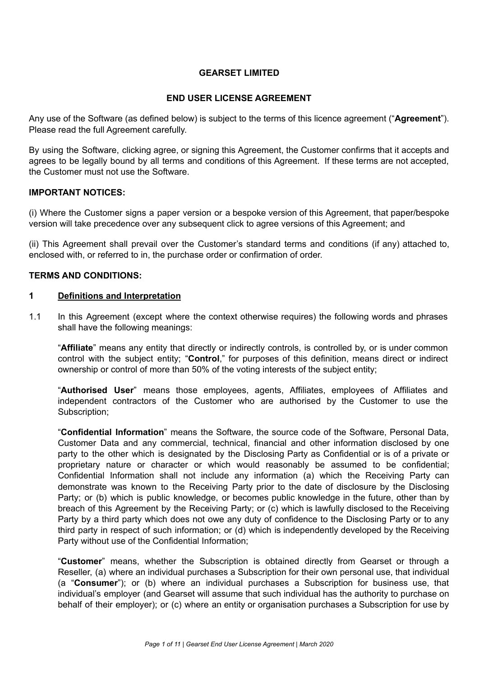# **GEARSET LIMITED**

# **END USER LICENSE AGREEMENT**

Any use of the Software (as defined below) is subject to the terms of this licence agreement ("**Agreement**"). Please read the full Agreement carefully.

By using the Software, clicking agree, or signing this Agreement, the Customer confirms that it accepts and agrees to be legally bound by all terms and conditions of this Agreement. If these terms are not accepted, the Customer must not use the Software.

### **IMPORTANT NOTICES:**

(i) Where the Customer signs a paper version or a bespoke version of this Agreement, that paper/bespoke version will take precedence over any subsequent click to agree versions of this Agreement; and

(ii) This Agreement shall prevail over the Customer's standard terms and conditions (if any) attached to, enclosed with, or referred to in, the purchase order or confirmation of order.

### **TERMS AND CONDITIONS:**

#### **1 Definitions and Interpretation**

1.1 In this Agreement (except where the context otherwise requires) the following words and phrases shall have the following meanings:

"**Affiliate**" means any entity that directly or indirectly controls, is controlled by, or is under common control with the subject entity; "**Control**," for purposes of this definition, means direct or indirect ownership or control of more than 50% of the voting interests of the subject entity;

"**Authorised User**" means those employees, agents, Affiliates, employees of Affiliates and independent contractors of the Customer who are authorised by the Customer to use the Subscription:

"**Confidential Information**" means the Software, the source code of the Software, Personal Data, Customer Data and any commercial, technical, financial and other information disclosed by one party to the other which is designated by the Disclosing Party as Confidential or is of a private or proprietary nature or character or which would reasonably be assumed to be confidential; Confidential Information shall not include any information (a) which the Receiving Party can demonstrate was known to the Receiving Party prior to the date of disclosure by the Disclosing Party; or (b) which is public knowledge, or becomes public knowledge in the future, other than by breach of this Agreement by the Receiving Party; or (c) which is lawfully disclosed to the Receiving Party by a third party which does not owe any duty of confidence to the Disclosing Party or to any third party in respect of such information; or (d) which is independently developed by the Receiving Party without use of the Confidential Information;

"**Customer**" means, whether the Subscription is obtained directly from Gearset or through a Reseller, (a) where an individual purchases a Subscription for their own personal use, that individual (a "**Consumer**"); or (b) where an individual purchases a Subscription for business use, that individual's employer (and Gearset will assume that such individual has the authority to purchase on behalf of their employer); or (c) where an entity or organisation purchases a Subscription for use by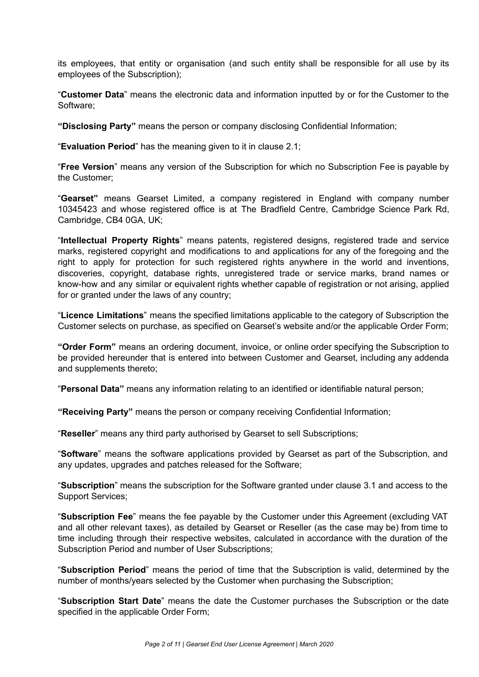its employees, that entity or organisation (and such entity shall be responsible for all use by its employees of the Subscription);

"**Customer Data**" means the electronic data and information inputted by or for the Customer to the Software;

**"Disclosing Party"** means the person or company disclosing Confidential Information;

"**Evaluation Period**" has the meaning given to it in clause 2.1;

"**Free Version**" means any version of the Subscription for which no Subscription Fee is payable by the Customer;

"**Gearset"** means Gearset Limited, a company registered in England with company number 10345423 and whose registered office is at The Bradfield Centre, Cambridge Science Park Rd, Cambridge, CB4 0GA, UK;

"**Intellectual Property Rights**" means patents, registered designs, registered trade and service marks, registered copyright and modifications to and applications for any of the foregoing and the right to apply for protection for such registered rights anywhere in the world and inventions, discoveries, copyright, database rights, unregistered trade or service marks, brand names or know-how and any similar or equivalent rights whether capable of registration or not arising, applied for or granted under the laws of any country;

"**Licence Limitations**" means the specified limitations applicable to the category of Subscription the Customer selects on purchase, as specified on Gearset's website and/or the applicable Order Form;

**"Order Form"** means an ordering document, invoice, or online order specifying the Subscription to be provided hereunder that is entered into between Customer and Gearset, including any addenda and supplements thereto;

"**Personal Data"** means any information relating to an identified or identifiable natural person;

**"Receiving Party"** means the person or company receiving Confidential Information;

"**Reseller**" means any third party authorised by Gearset to sell Subscriptions;

"**Software**" means the software applications provided by Gearset as part of the Subscription, and any updates, upgrades and patches released for the Software;

"**Subscription**" means the subscription for the Software granted under clause 3.1 and access to the Support Services;

"**Subscription Fee**" means the fee payable by the Customer under this Agreement (excluding VAT and all other relevant taxes), as detailed by Gearset or Reseller (as the case may be) from time to time including through their respective websites, calculated in accordance with the duration of the Subscription Period and number of User Subscriptions;

"**Subscription Period**" means the period of time that the Subscription is valid, determined by the number of months/years selected by the Customer when purchasing the Subscription;

"**Subscription Start Date**" means the date the Customer purchases the Subscription or the date specified in the applicable Order Form;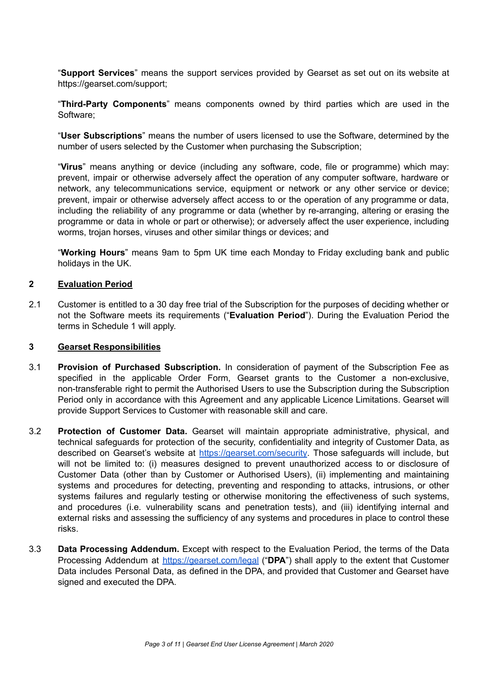"**Support Services**" means the support services provided by Gearset as set out on its website at https://gearset.com/support;

"**Third-Party Components**" means components owned by third parties which are used in the Software;

"**User Subscriptions**" means the number of users licensed to use the Software, determined by the number of users selected by the Customer when purchasing the Subscription;

"**Virus**" means anything or device (including any software, code, file or programme) which may: prevent, impair or otherwise adversely affect the operation of any computer software, hardware or network, any telecommunications service, equipment or network or any other service or device; prevent, impair or otherwise adversely affect access to or the operation of any programme or data, including the reliability of any programme or data (whether by re-arranging, altering or erasing the programme or data in whole or part or otherwise); or adversely affect the user experience, including worms, trojan horses, viruses and other similar things or devices; and

"**Working Hours**" means 9am to 5pm UK time each Monday to Friday excluding bank and public holidays in the UK.

### **2 Evaluation Period**

2.1 Customer is entitled to a 30 day free trial of the Subscription for the purposes of deciding whether or not the Software meets its requirements ("**Evaluation Period**"). During the Evaluation Period the terms in Schedule 1 will apply.

#### **3 Gearset Responsibilities**

- 3.1 **Provision of Purchased Subscription.** In consideration of payment of the Subscription Fee as specified in the applicable Order Form, Gearset grants to the Customer a non-exclusive, non-transferable right to permit the Authorised Users to use the Subscription during the Subscription Period only in accordance with this Agreement and any applicable Licence Limitations. Gearset will provide Support Services to Customer with reasonable skill and care.
- 3.2 **Protection of Customer Data.** Gearset will maintain appropriate administrative, physical, and technical safeguards for protection of the security, confidentiality and integrity of Customer Data, as described on Gearset's website at <https://gearset.com/security>. Those safeguards will include, but will not be limited to: (i) measures designed to prevent unauthorized access to or disclosure of Customer Data (other than by Customer or Authorised Users), (ii) implementing and maintaining systems and procedures for detecting, preventing and responding to attacks, intrusions, or other systems failures and regularly testing or otherwise monitoring the effectiveness of such systems, and procedures (i.e. vulnerability scans and penetration tests), and (iii) identifying internal and external risks and assessing the sufficiency of any systems and procedures in place to control these risks.
- 3.3 **Data Processing Addendum.** Except with respect to the Evaluation Period, the terms of the Data Processing Addendum at <https://gearset.com/legal> ("**DPA**") shall apply to the extent that Customer Data includes Personal Data, as defined in the DPA, and provided that Customer and Gearset have signed and executed the DPA.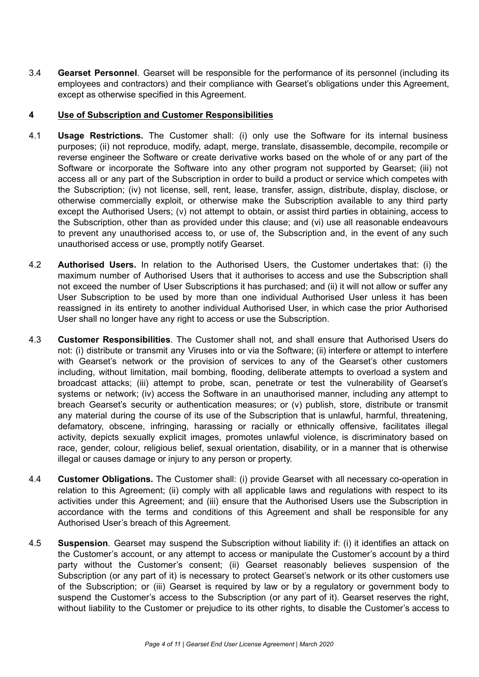3.4 **Gearset Personnel**. Gearset will be responsible for the performance of its personnel (including its employees and contractors) and their compliance with Gearset's obligations under this Agreement, except as otherwise specified in this Agreement.

# **4 Use of Subscription and Customer Responsibilities**

- 4.1 **Usage Restrictions.** The Customer shall: (i) only use the Software for its internal business purposes; (ii) not reproduce, modify, adapt, merge, translate, disassemble, decompile, recompile or reverse engineer the Software or create derivative works based on the whole of or any part of the Software or incorporate the Software into any other program not supported by Gearset; (iii) not access all or any part of the Subscription in order to build a product or service which competes with the Subscription; (iv) not license, sell, rent, lease, transfer, assign, distribute, display, disclose, or otherwise commercially exploit, or otherwise make the Subscription available to any third party except the Authorised Users; (v) not attempt to obtain, or assist third parties in obtaining, access to the Subscription, other than as provided under this clause; and (vi) use all reasonable endeavours to prevent any unauthorised access to, or use of, the Subscription and, in the event of any such unauthorised access or use, promptly notify Gearset.
- 4.2 **Authorised Users.** In relation to the Authorised Users, the Customer undertakes that: (i) the maximum number of Authorised Users that it authorises to access and use the Subscription shall not exceed the number of User Subscriptions it has purchased; and (ii) it will not allow or suffer any User Subscription to be used by more than one individual Authorised User unless it has been reassigned in its entirety to another individual Authorised User, in which case the prior Authorised User shall no longer have any right to access or use the Subscription.
- 4.3 **Customer Responsibilities**. The Customer shall not, and shall ensure that Authorised Users do not: (i) distribute or transmit any Viruses into or via the Software; (ii) interfere or attempt to interfere with Gearset's network or the provision of services to any of the Gearset's other customers including, without limitation, mail bombing, flooding, deliberate attempts to overload a system and broadcast attacks; (iii) attempt to probe, scan, penetrate or test the vulnerability of Gearset's systems or network; (iv) access the Software in an unauthorised manner, including any attempt to breach Gearset's security or authentication measures; or (v) publish, store, distribute or transmit any material during the course of its use of the Subscription that is unlawful, harmful, threatening, defamatory, obscene, infringing, harassing or racially or ethnically offensive, facilitates illegal activity, depicts sexually explicit images, promotes unlawful violence, is discriminatory based on race, gender, colour, religious belief, sexual orientation, disability, or in a manner that is otherwise illegal or causes damage or injury to any person or property.
- 4.4 **Customer Obligations.** The Customer shall: (i) provide Gearset with all necessary co-operation in relation to this Agreement; (ii) comply with all applicable laws and regulations with respect to its activities under this Agreement; and (iii) ensure that the Authorised Users use the Subscription in accordance with the terms and conditions of this Agreement and shall be responsible for any Authorised User's breach of this Agreement.
- 4.5 **Suspension**. Gearset may suspend the Subscription without liability if: (i) it identifies an attack on the Customer's account, or any attempt to access or manipulate the Customer's account by a third party without the Customer's consent; (ii) Gearset reasonably believes suspension of the Subscription (or any part of it) is necessary to protect Gearset's network or its other customers use of the Subscription; or (iii) Gearset is required by law or by a regulatory or government body to suspend the Customer's access to the Subscription (or any part of it). Gearset reserves the right, without liability to the Customer or prejudice to its other rights, to disable the Customer's access to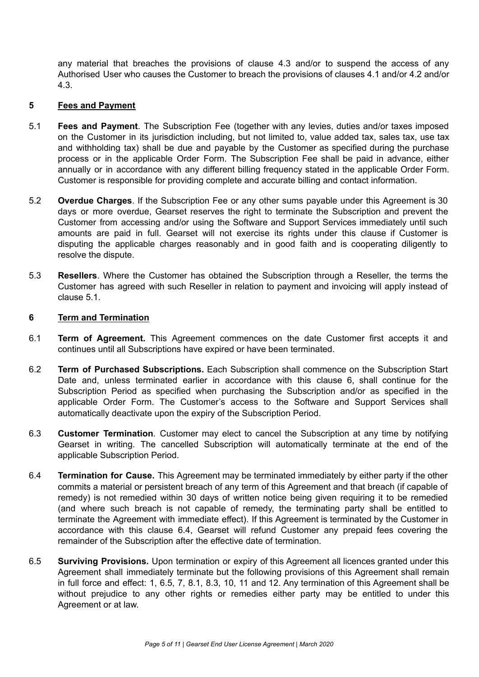any material that breaches the provisions of clause 4.3 and/or to suspend the access of any Authorised User who causes the Customer to breach the provisions of clauses 4.1 and/or 4.2 and/or 4.3.

### **5 Fees and Payment**

- 5.1 **Fees and Payment**. The Subscription Fee (together with any levies, duties and/or taxes imposed on the Customer in its jurisdiction including, but not limited to, value added tax, sales tax, use tax and withholding tax) shall be due and payable by the Customer as specified during the purchase process or in the applicable Order Form. The Subscription Fee shall be paid in advance, either annually or in accordance with any different billing frequency stated in the applicable Order Form. Customer is responsible for providing complete and accurate billing and contact information.
- 5.2 **Overdue Charges**. If the Subscription Fee or any other sums payable under this Agreement is 30 days or more overdue, Gearset reserves the right to terminate the Subscription and prevent the Customer from accessing and/or using the Software and Support Services immediately until such amounts are paid in full. Gearset will not exercise its rights under this clause if Customer is disputing the applicable charges reasonably and in good faith and is cooperating diligently to resolve the dispute.
- 5.3 **Resellers**. Where the Customer has obtained the Subscription through a Reseller, the terms the Customer has agreed with such Reseller in relation to payment and invoicing will apply instead of clause 5.1.

### **6 Term and Termination**

- 6.1 **Term of Agreement.** This Agreement commences on the date Customer first accepts it and continues until all Subscriptions have expired or have been terminated.
- 6.2 **Term of Purchased Subscriptions.** Each Subscription shall commence on the Subscription Start Date and, unless terminated earlier in accordance with this clause 6, shall continue for the Subscription Period as specified when purchasing the Subscription and/or as specified in the applicable Order Form. The Customer's access to the Software and Support Services shall automatically deactivate upon the expiry of the Subscription Period.
- 6.3 **Customer Termination**. Customer may elect to cancel the Subscription at any time by notifying Gearset in writing. The cancelled Subscription will automatically terminate at the end of the applicable Subscription Period.
- 6.4 **Termination for Cause.** This Agreement may be terminated immediately by either party if the other commits a material or persistent breach of any term of this Agreement and that breach (if capable of remedy) is not remedied within 30 days of written notice being given requiring it to be remedied (and where such breach is not capable of remedy, the terminating party shall be entitled to terminate the Agreement with immediate effect). If this Agreement is terminated by the Customer in accordance with this clause 6.4, Gearset will refund Customer any prepaid fees covering the remainder of the Subscription after the effective date of termination.
- 6.5 **Surviving Provisions.** Upon termination or expiry of this Agreement all licences granted under this Agreement shall immediately terminate but the following provisions of this Agreement shall remain in full force and effect: 1, 6.5, 7, 8.1, 8.3, 10, 11 and 12. Any termination of this Agreement shall be without prejudice to any other rights or remedies either party may be entitled to under this Agreement or at law.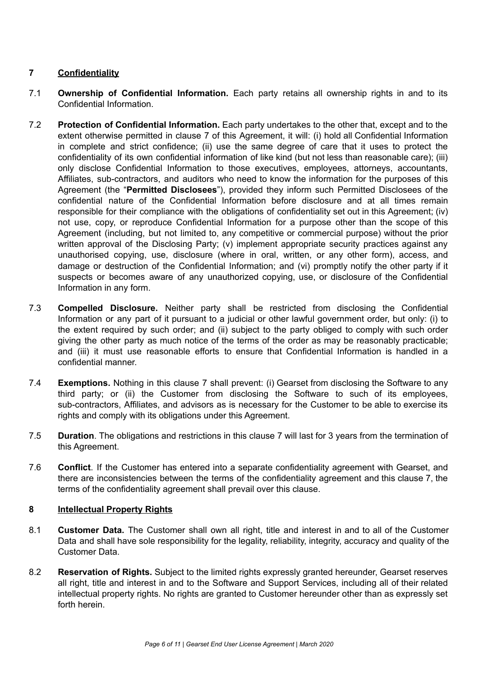# **7 Confidentiality**

- 7.1 **Ownership of Confidential Information.** Each party retains all ownership rights in and to its Confidential Information.
- 7.2 **Protection of Confidential Information.** Each party undertakes to the other that, except and to the extent otherwise permitted in clause 7 of this Agreement, it will: (i) hold all Confidential Information in complete and strict confidence; (ii) use the same degree of care that it uses to protect the confidentiality of its own confidential information of like kind (but not less than reasonable care); (iii) only disclose Confidential Information to those executives, employees, attorneys, accountants, Affiliates, sub-contractors, and auditors who need to know the information for the purposes of this Agreement (the "**Permitted Disclosees**"), provided they inform such Permitted Disclosees of the confidential nature of the Confidential Information before disclosure and at all times remain responsible for their compliance with the obligations of confidentiality set out in this Agreement; (iv) not use, copy, or reproduce Confidential Information for a purpose other than the scope of this Agreement (including, but not limited to, any competitive or commercial purpose) without the prior written approval of the Disclosing Party; (v) implement appropriate security practices against any unauthorised copying, use, disclosure (where in oral, written, or any other form), access, and damage or destruction of the Confidential Information; and (vi) promptly notify the other party if it suspects or becomes aware of any unauthorized copying, use, or disclosure of the Confidential Information in any form.
- 7.3 **Compelled Disclosure.** Neither party shall be restricted from disclosing the Confidential Information or any part of it pursuant to a judicial or other lawful government order, but only: (i) to the extent required by such order; and (ii) subject to the party obliged to comply with such order giving the other party as much notice of the terms of the order as may be reasonably practicable; and (iii) it must use reasonable efforts to ensure that Confidential Information is handled in a confidential manner.
- 7.4 **Exemptions.** Nothing in this clause 7 shall prevent: (i) Gearset from disclosing the Software to any third party; or (ii) the Customer from disclosing the Software to such of its employees, sub-contractors, Affiliates, and advisors as is necessary for the Customer to be able to exercise its rights and comply with its obligations under this Agreement.
- 7.5 **Duration**. The obligations and restrictions in this clause 7 will last for 3 years from the termination of this Agreement.
- 7.6 **Conflict**. If the Customer has entered into a separate confidentiality agreement with Gearset, and there are inconsistencies between the terms of the confidentiality agreement and this clause 7, the terms of the confidentiality agreement shall prevail over this clause.

### **8 Intellectual Property Rights**

- 8.1 **Customer Data.** The Customer shall own all right, title and interest in and to all of the Customer Data and shall have sole responsibility for the legality, reliability, integrity, accuracy and quality of the Customer Data.
- 8.2 **Reservation of Rights.** Subject to the limited rights expressly granted hereunder, Gearset reserves all right, title and interest in and to the Software and Support Services, including all of their related intellectual property rights. No rights are granted to Customer hereunder other than as expressly set forth herein.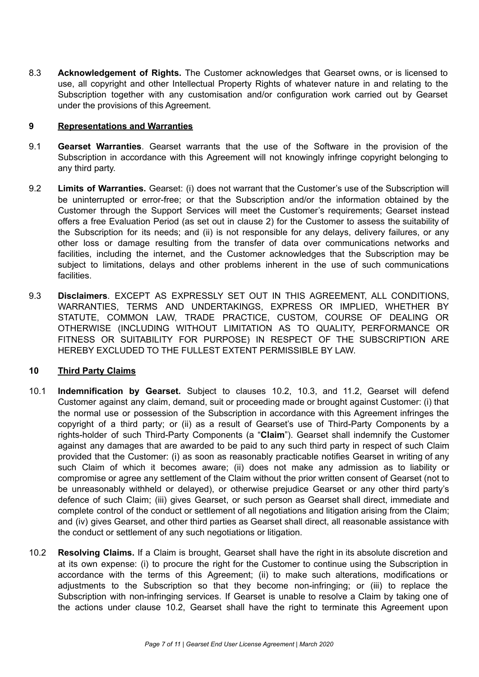8.3 **Acknowledgement of Rights.** The Customer acknowledges that Gearset owns, or is licensed to use, all copyright and other Intellectual Property Rights of whatever nature in and relating to the Subscription together with any customisation and/or configuration work carried out by Gearset under the provisions of this Agreement.

# **9 Representations and Warranties**

- 9.1 **Gearset Warranties**. Gearset warrants that the use of the Software in the provision of the Subscription in accordance with this Agreement will not knowingly infringe copyright belonging to any third party.
- 9.2 **Limits of Warranties.** Gearset: (i) does not warrant that the Customer's use of the Subscription will be uninterrupted or error-free; or that the Subscription and/or the information obtained by the Customer through the Support Services will meet the Customer's requirements; Gearset instead offers a free Evaluation Period (as set out in clause 2) for the Customer to assess the suitability of the Subscription for its needs; and (ii) is not responsible for any delays, delivery failures, or any other loss or damage resulting from the transfer of data over communications networks and facilities, including the internet, and the Customer acknowledges that the Subscription may be subject to limitations, delays and other problems inherent in the use of such communications facilities.
- 9.3 **Disclaimers**. EXCEPT AS EXPRESSLY SET OUT IN THIS AGREEMENT, ALL CONDITIONS, WARRANTIES, TERMS AND UNDERTAKINGS, EXPRESS OR IMPLIED, WHETHER BY STATUTE, COMMON LAW, TRADE PRACTICE, CUSTOM, COURSE OF DEALING OR OTHERWISE (INCLUDING WITHOUT LIMITATION AS TO QUALITY, PERFORMANCE OR FITNESS OR SUITABILITY FOR PURPOSE) IN RESPECT OF THE SUBSCRIPTION ARE HEREBY EXCLUDED TO THE FULLEST EXTENT PERMISSIBLE BY LAW.

# **10 Third Party Claims**

- 10.1 **Indemnification by Gearset.** Subject to clauses 10.2, 10.3, and 11.2, Gearset will defend Customer against any claim, demand, suit or proceeding made or brought against Customer: (i) that the normal use or possession of the Subscription in accordance with this Agreement infringes the copyright of a third party; or (ii) as a result of Gearset's use of Third-Party Components by a rights-holder of such Third-Party Components (a "**Claim**"). Gearset shall indemnify the Customer against any damages that are awarded to be paid to any such third party in respect of such Claim provided that the Customer: (i) as soon as reasonably practicable notifies Gearset in writing of any such Claim of which it becomes aware; (ii) does not make any admission as to liability or compromise or agree any settlement of the Claim without the prior written consent of Gearset (not to be unreasonably withheld or delayed), or otherwise prejudice Gearset or any other third party's defence of such Claim; (iii) gives Gearset, or such person as Gearset shall direct, immediate and complete control of the conduct or settlement of all negotiations and litigation arising from the Claim; and (iv) gives Gearset, and other third parties as Gearset shall direct, all reasonable assistance with the conduct or settlement of any such negotiations or litigation.
- 10.2 **Resolving Claims.** If a Claim is brought, Gearset shall have the right in its absolute discretion and at its own expense: (i) to procure the right for the Customer to continue using the Subscription in accordance with the terms of this Agreement; (ii) to make such alterations, modifications or adjustments to the Subscription so that they become non-infringing; or (iii) to replace the Subscription with non-infringing services. If Gearset is unable to resolve a Claim by taking one of the actions under clause 10.2, Gearset shall have the right to terminate this Agreement upon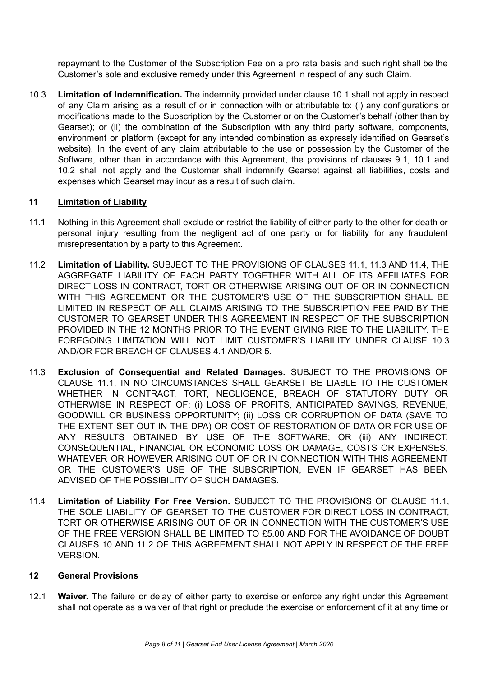repayment to the Customer of the Subscription Fee on a pro rata basis and such right shall be the Customer's sole and exclusive remedy under this Agreement in respect of any such Claim.

10.3 **Limitation of Indemnification.** The indemnity provided under clause 10.1 shall not apply in respect of any Claim arising as a result of or in connection with or attributable to: (i) any configurations or modifications made to the Subscription by the Customer or on the Customer's behalf (other than by Gearset); or (ii) the combination of the Subscription with any third party software, components, environment or platform (except for any intended combination as expressly identified on Gearset's website). In the event of any claim attributable to the use or possession by the Customer of the Software, other than in accordance with this Agreement, the provisions of clauses 9.1, 10.1 and 10.2 shall not apply and the Customer shall indemnify Gearset against all liabilities, costs and expenses which Gearset may incur as a result of such claim.

### **11 Limitation of Liability**

- 11.1 Nothing in this Agreement shall exclude or restrict the liability of either party to the other for death or personal injury resulting from the negligent act of one party or for liability for any fraudulent misrepresentation by a party to this Agreement.
- 11.2 **Limitation of Liability.** SUBJECT TO THE PROVISIONS OF CLAUSES 11.1, 11.3 AND 11.4, THE AGGREGATE LIABILITY OF EACH PARTY TOGETHER WITH ALL OF ITS AFFILIATES FOR DIRECT LOSS IN CONTRACT, TORT OR OTHERWISE ARISING OUT OF OR IN CONNECTION WITH THIS AGREEMENT OR THE CUSTOMER'S USE OF THE SUBSCRIPTION SHALL BE LIMITED IN RESPECT OF ALL CLAIMS ARISING TO THE SUBSCRIPTION FEE PAID BY THE CUSTOMER TO GEARSET UNDER THIS AGREEMENT IN RESPECT OF THE SUBSCRIPTION PROVIDED IN THE 12 MONTHS PRIOR TO THE EVENT GIVING RISE TO THE LIABILITY. THE FOREGOING LIMITATION WILL NOT LIMIT CUSTOMER'S LIABILITY UNDER CLAUSE 10.3 AND/OR FOR BREACH OF CLAUSES 4.1 AND/OR 5.
- 11.3 **Exclusion of Consequential and Related Damages.** SUBJECT TO THE PROVISIONS OF CLAUSE 11.1, IN NO CIRCUMSTANCES SHALL GEARSET BE LIABLE TO THE CUSTOMER WHETHER IN CONTRACT, TORT, NEGLIGENCE, BREACH OF STATUTORY DUTY OR OTHERWISE IN RESPECT OF: (i) LOSS OF PROFITS, ANTICIPATED SAVINGS, REVENUE, GOODWILL OR BUSINESS OPPORTUNITY; (ii) LOSS OR CORRUPTION OF DATA (SAVE TO THE EXTENT SET OUT IN THE DPA) OR COST OF RESTORATION OF DATA OR FOR USE OF ANY RESULTS OBTAINED BY USE OF THE SOFTWARE; OR (iii) ANY INDIRECT, CONSEQUENTIAL, FINANCIAL OR ECONOMIC LOSS OR DAMAGE, COSTS OR EXPENSES, WHATEVER OR HOWEVER ARISING OUT OF OR IN CONNECTION WITH THIS AGREEMENT OR THE CUSTOMER'S USE OF THE SUBSCRIPTION, EVEN IF GEARSET HAS BEEN ADVISED OF THE POSSIBILITY OF SUCH DAMAGES.
- 11.4 **Limitation of Liability For Free Version.** SUBJECT TO THE PROVISIONS OF CLAUSE 11.1, THE SOLE LIABILITY OF GEARSET TO THE CUSTOMER FOR DIRECT LOSS IN CONTRACT, TORT OR OTHERWISE ARISING OUT OF OR IN CONNECTION WITH THE CUSTOMER'S USE OF THE FREE VERSION SHALL BE LIMITED TO £5.00 AND FOR THE AVOIDANCE OF DOUBT CLAUSES 10 AND 11.2 OF THIS AGREEMENT SHALL NOT APPLY IN RESPECT OF THE FREE VERSION.

#### **12 General Provisions**

12.1 **Waiver.** The failure or delay of either party to exercise or enforce any right under this Agreement shall not operate as a waiver of that right or preclude the exercise or enforcement of it at any time or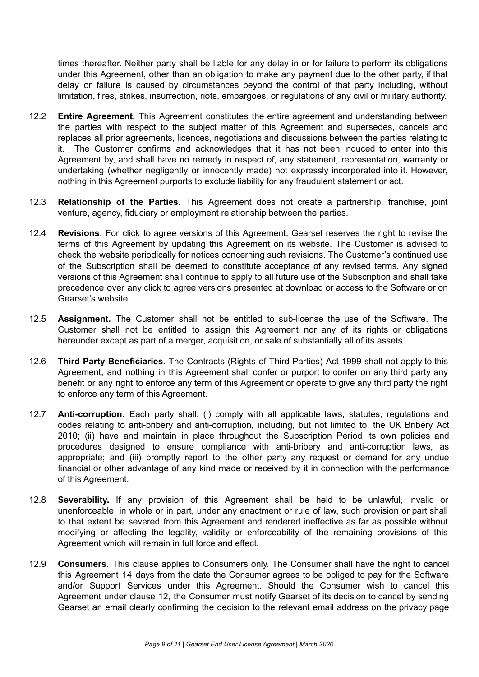times thereafter. Neither party shall be liable for any delay in or for failure to perform its obligations under this Agreement, other than an obligation to make any payment due to the other party, if that delay or failure is caused by circumstances beyond the control of that party including, without limitation, fires, strikes, insurrection, riots, embargoes, or regulations of any civil or military authority.

- 12.2 **Entire Agreement.** This Agreement constitutes the entire agreement and understanding between the parties with respect to the subject matter of this Agreement and supersedes, cancels and replaces all prior agreements, licences, negotiations and discussions between the parties relating to it. The Customer confirms and acknowledges that it has not been induced to enter into this Agreement by, and shall have no remedy in respect of, any statement, representation, warranty or undertaking (whether negligently or innocently made) not expressly incorporated into it. However, nothing in this Agreement purports to exclude liability for any fraudulent statement or act.
- 12.3 **Relationship of the Parties**. This Agreement does not create a partnership, franchise, joint venture, agency, fiduciary or employment relationship between the parties.
- 12.4 **Revisions**. For click to agree versions of this Agreement, Gearset reserves the right to revise the terms of this Agreement by updating this Agreement on its website. The Customer is advised to check the website periodically for notices concerning such revisions. The Customer's continued use of the Subscription shall be deemed to constitute acceptance of any revised terms. Any signed versions of this Agreement shall continue to apply to all future use of the Subscription and shall take precedence over any click to agree versions presented at download or access to the Software or on Gearset's website.
- 12.5 **Assignment.** The Customer shall not be entitled to sub-license the use of the Software. The Customer shall not be entitled to assign this Agreement nor any of its rights or obligations hereunder except as part of a merger, acquisition, or sale of substantially all of its assets.
- 12.6 **Third Party Beneficiaries**. The Contracts (Rights of Third Parties) Act 1999 shall not apply to this Agreement, and nothing in this Agreement shall confer or purport to confer on any third party any benefit or any right to enforce any term of this Agreement or operate to give any third party the right to enforce any term of this Agreement.
- 12.7 **Anti-corruption.** Each party shall: (i) comply with all applicable laws, statutes, regulations and codes relating to anti-bribery and anti-corruption, including, but not limited to, the UK Bribery Act 2010; (ii) have and maintain in place throughout the Subscription Period its own policies and procedures designed to ensure compliance with anti-bribery and anti-corruption laws, as appropriate; and (iii) promptly report to the other party any request or demand for any undue financial or other advantage of any kind made or received by it in connection with the performance of this Agreement.
- 12.8 **Severability.** If any provision of this Agreement shall be held to be unlawful, invalid or unenforceable, in whole or in part, under any enactment or rule of law, such provision or part shall to that extent be severed from this Agreement and rendered ineffective as far as possible without modifying or affecting the legality, validity or enforceability of the remaining provisions of this Agreement which will remain in full force and effect.
- 12.9 **Consumers.** This clause applies to Consumers only. The Consumer shall have the right to cancel this Agreement 14 days from the date the Consumer agrees to be obliged to pay for the Software and/or Support Services under this Agreement. Should the Consumer wish to cancel this Agreement under clause 12, the Consumer must notify Gearset of its decision to cancel by sending Gearset an email clearly confirming the decision to the relevant email address on the privacy page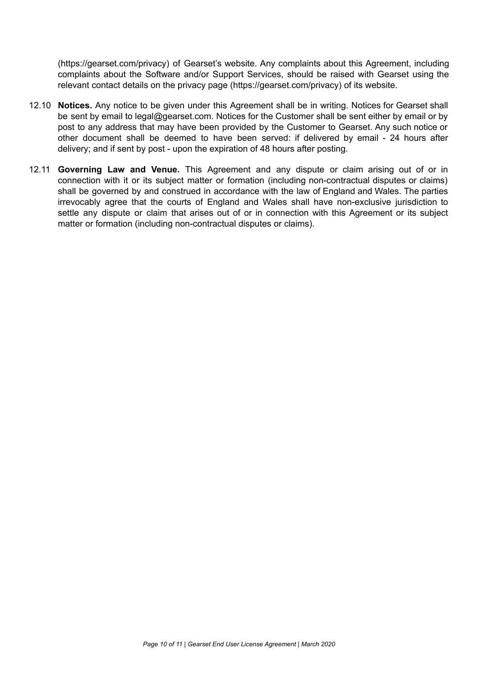(<https://gearset.com/privacy>) of Gearset's website. Any complaints about this Agreement, including complaints about the Software and/or Support Services, should be raised with Gearset using the relevant contact details on the privacy page [\(https://gearset.com/privacy](https://gearset.com/privacy)) of its website.

- 12.10 **Notices.** Any notice to be given under this Agreement shall be in writing. Notices for Gearset shall be sent by email to lega[l@gearset.com.](mailto:security@gearset.com) Notices for the Customer shall be sent either by email or by post to any address that may have been provided by the Customer to Gearset. Any such notice or other document shall be deemed to have been served: if delivered by email - 24 hours after delivery; and if sent by post - upon the expiration of 48 hours after posting.
- 12.11 **Governing Law and Venue.** This Agreement and any dispute or claim arising out of or in connection with it or its subject matter or formation (including non-contractual disputes or claims) shall be governed by and construed in accordance with the law of England and Wales. The parties irrevocably agree that the courts of England and Wales shall have non-exclusive jurisdiction to settle any dispute or claim that arises out of or in connection with this Agreement or its subject matter or formation (including non-contractual disputes or claims).